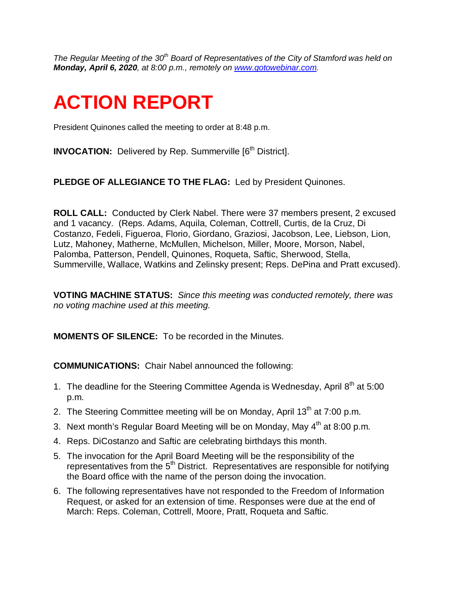*The Regular Meeting of the 30th Board of Representatives of the City of Stamford was held on Monday, April 6, 2020, at 8:00 p.m., remotely on [www.gotowebinar.com.](http://www.gotowebinar.com/)* 

# **ACTION REPORT**

President Quinones called the meeting to order at 8:48 p.m.

**INVOCATION:** Delivered by Rep. Summerville [6<sup>th</sup> District].

**PLEDGE OF ALLEGIANCE TO THE FLAG:** Led by President Quinones.

**ROLL CALL:** Conducted by Clerk Nabel. There were 37 members present, 2 excused and 1 vacancy. (Reps. Adams, Aquila, Coleman, Cottrell, Curtis, de la Cruz, Di Costanzo, Fedeli, Figueroa, Florio, Giordano, Graziosi, Jacobson, Lee, Liebson, Lion, Lutz, Mahoney, Matherne, McMullen, Michelson, Miller, Moore, Morson, Nabel, Palomba, Patterson, Pendell, Quinones, Roqueta, Saftic, Sherwood, Stella, Summerville, Wallace, Watkins and Zelinsky present; Reps. DePina and Pratt excused).

**VOTING MACHINE STATUS:** *Since this meeting was conducted remotely, there was no voting machine used at this meeting.* 

**MOMENTS OF SILENCE:** To be recorded in the Minutes.

**COMMUNICATIONS:** Chair Nabel announced the following:

- 1. The deadline for the Steering Committee Agenda is Wednesday, April  $8<sup>th</sup>$  at 5:00 p.m.
- 2. The Steering Committee meeting will be on Monday, April  $13<sup>th</sup>$  at 7:00 p.m.
- 3. Next month's Regular Board Meeting will be on Monday, May  $4<sup>th</sup>$  at 8:00 p.m.
- 4. Reps. DiCostanzo and Saftic are celebrating birthdays this month.
- 5. The invocation for the April Board Meeting will be the responsibility of the representatives from the  $5<sup>th</sup>$  District. Representatives are responsible for notifying the Board office with the name of the person doing the invocation.
- 6. The following representatives have not responded to the Freedom of Information Request, or asked for an extension of time. Responses were due at the end of March: Reps. Coleman, Cottrell, Moore, Pratt, Roqueta and Saftic.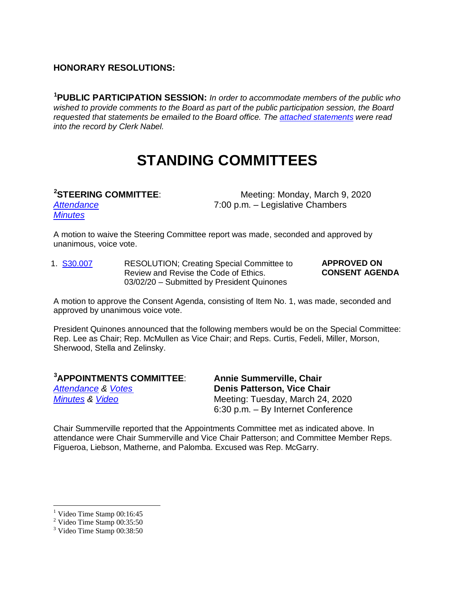#### **HONORARY RESOLUTIONS:**

**[1](#page-1-0) PUBLIC PARTICIPATION SESSION:** *In order to accommodate members of the public who wished to provide comments to the Board as part of the public participation session, the Board requested that statements be emailed to the Board office. The [attached statements](http://www.boardofreps.org/Data/Sites/43/userfiles/minutes/2020/pub_comment/200406_public_comments.pdf) were read into the record by Clerk Nabel.*

### **STANDING COMMITTEES**

#### <sup>[2](#page-1-1)</sup>STEERING COMMITTEE:

Meeting: Monday, March 9, 2020 *[Attendance](http://www.boardofreps.org/Data/Sites/43/userfiles/committees/steering/attend/2020/200309_attend.pdf)* 7:00 p.m. – Legislative Chambers

*[Minutes](http://www.boardofreps.org/Data/Sites/43/userfiles/committees/steering/reports/2020/200309.pdf)*

A motion to waive the Steering Committee report was made, seconded and approved by unanimous, voice vote.

1. [S30.007](http://www.boardofreps.org/data/sites/43/userfiles/committees/steering/Items/2020/s30007.pdf) RESOLUTION; Creating Special Committee to Review and Revise the Code of Ethics. 03/02/20 – Submitted by President Quinones **APPROVED ON CONSENT AGENDA**

A motion to approve the Consent Agenda, consisting of Item No. 1, was made, seconded and approved by unanimous voice vote.

President Quinones announced that the following members would be on the Special Committee: Rep. Lee as Chair; Rep. McMullen as Vice Chair; and Reps. Curtis, Fedeli, Miller, Morson, Sherwood, Stella and Zelinsky.

| <sup>3</sup> APPOINTMENTS COMMITTEE: | <b>Annie Summerville, Chair</b>    |
|--------------------------------------|------------------------------------|
| <b>Attendance &amp; Votes</b>        | Denis Patterson, Vice Chair        |
| <b>Minutes &amp; Video</b>           | Meeting: Tuesday, March 24, 2020   |
|                                      | 6:30 p.m. – By Internet Conference |

Chair Summerville reported that the Appointments Committee met as indicated above. In attendance were Chair Summerville and Vice Chair Patterson; and Committee Member Reps. Figueroa, Liebson, Matherne, and Palomba. Excused was Rep. McGarry.

<span id="page-1-0"></span> $<sup>1</sup>$  Video Time Stamp 00:16:45</sup>

 $2$  Video Time Stamp 00:35:50

<span id="page-1-2"></span><span id="page-1-1"></span><sup>3</sup> Video Time Stamp 00:38:50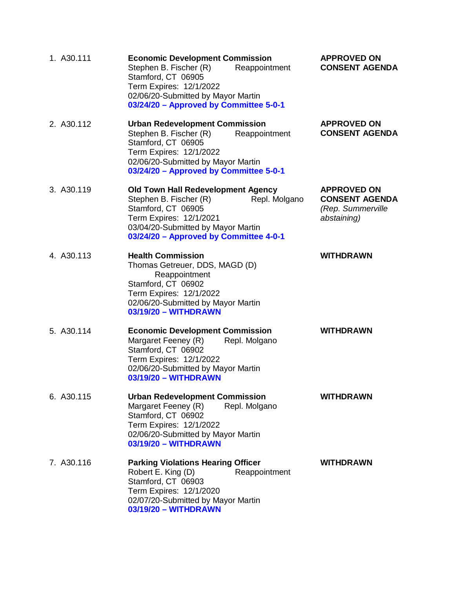| 1. A30.111 | <b>Economic Development Commission</b><br>Stephen B. Fischer (R)<br>Reappointment<br>Stamford, CT 06905<br>Term Expires: 12/1/2022<br>02/06/20-Submitted by Mayor Martin<br>03/24/20 - Approved by Committee 5-0-1    | <b>APPROVED ON</b><br><b>CONSENT AGENDA</b>                                     |
|------------|-----------------------------------------------------------------------------------------------------------------------------------------------------------------------------------------------------------------------|---------------------------------------------------------------------------------|
| 2. A30.112 | <b>Urban Redevelopment Commission</b><br>Stephen B. Fischer (R)<br>Reappointment<br>Stamford, CT 06905<br>Term Expires: 12/1/2022<br>02/06/20-Submitted by Mayor Martin<br>03/24/20 - Approved by Committee 5-0-1     | <b>APPROVED ON</b><br><b>CONSENT AGENDA</b>                                     |
| 3. A30.119 | <b>Old Town Hall Redevelopment Agency</b><br>Stephen B. Fischer (R)<br>Repl. Molgano<br>Stamford, CT 06905<br>Term Expires: 12/1/2021<br>03/04/20-Submitted by Mayor Martin<br>03/24/20 - Approved by Committee 4-0-1 | <b>APPROVED ON</b><br><b>CONSENT AGENDA</b><br>(Rep. Summerville<br>abstaining) |
| 4. A30.113 | <b>Health Commission</b><br>Thomas Getreuer, DDS, MAGD (D)<br>Reappointment<br>Stamford, CT 06902<br>Term Expires: 12/1/2022<br>02/06/20-Submitted by Mayor Martin<br>03/19/20 - WITHDRAWN                            | <b>WITHDRAWN</b>                                                                |
| 5. A30.114 | <b>Economic Development Commission</b><br>Margaret Feeney (R)<br>Repl. Molgano<br>Stamford, CT 06902<br>Term Expires: 12/1/2022<br>02/06/20-Submitted by Mayor Martin<br>03/19/20 - WITHDRAWN                         | <b>WITHDRAWN</b>                                                                |
| 6. A30.115 | <b>Urban Redevelopment Commission</b><br>Margaret Feeney (R)<br>Repl. Molgano<br>Stamford, CT 06902<br>Term Expires: 12/1/2022<br>02/06/20-Submitted by Mayor Martin<br>03/19/20 - WITHDRAWN                          | <b>WITHDRAWN</b>                                                                |
| 7. A30.116 | <b>Parking Violations Hearing Officer</b><br>Robert E. King (D)<br>Reappointment<br>Stamford, CT 06903<br>Term Expires: 12/1/2020<br>02/07/20-Submitted by Mayor Martin<br>03/19/20 - WITHDRAWN                       | <b>WITHDRAWN</b>                                                                |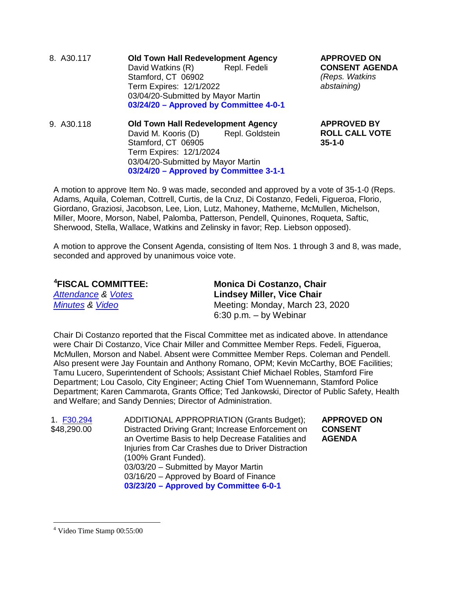8. A30.117 **Old Town Hall Redevelopment Agency** David Watkins (R) Stamford, CT 06902 Term Expires: 12/1/2022 03/04/20-Submitted by Mayor Martin **03/24/20 – Approved by Committee 4-0-1**

9. A30.118 **Old Town Hall Redevelopment Agency** David M. Kooris (D) Stamford, CT 06905 Term Expires: 12/1/2024 03/04/20-Submitted by Mayor Martin **03/24/20 – Approved by Committee 3-1-1** **APPROVED ON CONSENT AGENDA**  *(Reps. Watkins abstaining)*

**APPROVED BY ROLL CALL VOTE 35-1-0**

A motion to approve Item No. 9 was made, seconded and approved by a vote of 35-1-0 (Reps. Adams, Aquila, Coleman, Cottrell, Curtis, de la Cruz, Di Costanzo, Fedeli, Figueroa, Florio, Giordano, Graziosi, Jacobson, Lee, Lion, Lutz, Mahoney, Matherne, McMullen, Michelson, Miller, Moore, Morson, Nabel, Palomba, Patterson, Pendell, Quinones, Roqueta, Saftic, Sherwood, Stella, Wallace, Watkins and Zelinsky in favor; Rep. Liebson opposed).

A motion to approve the Consent Agenda, consisting of Item Nos. 1 through 3 and 8, was made, seconded and approved by unanimous voice vote.

| <sup>4</sup> FISCAL COMMITTEE: | <b>Monica Di Costanzo, Chair</b>  |
|--------------------------------|-----------------------------------|
| <b>Attendance &amp; Votes</b>  | <b>Lindsey Miller, Vice Chair</b> |
| <b>Minutes &amp; Video</b>     | Meeting: Monday, March 23, 2020   |
|                                | $6:30$ p.m. $-$ by Webinar        |

Chair Di Costanzo reported that the Fiscal Committee met as indicated above. In attendance were Chair Di Costanzo, Vice Chair Miller and Committee Member Reps. Fedeli, Figueroa, McMullen, Morson and Nabel. Absent were Committee Member Reps. Coleman and Pendell. Also present were Jay Fountain and Anthony Romano, OPM; Kevin McCarthy, BOE Facilities; Tamu Lucero, Superintendent of Schools; Assistant Chief Michael Robles, Stamford Fire Department; Lou Casolo, City Engineer; Acting Chief Tom Wuennemann, Stamford Police Department; Karen Cammarota, Grants Office; Ted Jankowski, Director of Public Safety, Health and Welfare; and Sandy Dennies; Director of Administration.

1. [F30.294](http://www.boardofreps.org/Data/Sites/43/userfiles/committees/fiscal/items/2020/f30294.pdf) \$48,290.00 ADDITIONAL APPROPRIATION (Grants Budget); Distracted Driving Grant; Increase Enforcement on an Overtime Basis to help Decrease Fatalities and Injuries from Car Crashes due to Driver Distraction (100% Grant Funded). 03/03/20 – Submitted by Mayor Martin 03/16/20 – Approved by Board of Finance **03/23/20 – Approved by Committee 6-0-1**

**APPROVED ON CONSENT AGENDA**

<span id="page-3-0"></span> <sup>4</sup> Video Time Stamp 00:55:00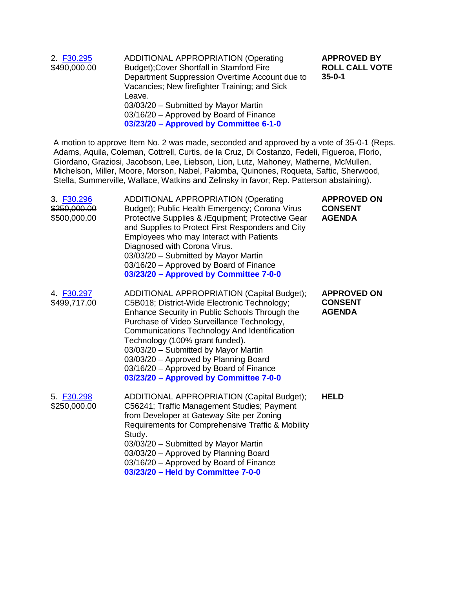| 2. F30.295<br>\$490,000.00 | <b>ADDITIONAL APPROPRIATION (Operating</b><br>Budget); Cover Shortfall in Stamford Fire<br>Department Suppression Overtime Account due to<br>Vacancies; New firefighter Training; and Sick | <b>APPROVED BY</b><br><b>ROLL CALL VOTE</b><br>$35 - 0 - 1$ |
|----------------------------|--------------------------------------------------------------------------------------------------------------------------------------------------------------------------------------------|-------------------------------------------------------------|
|                            | Leave.<br>03/03/20 - Submitted by Mayor Martin<br>03/16/20 - Approved by Board of Finance<br>03/23/20 - Approved by Committee 6-1-0                                                        |                                                             |

A motion to approve Item No. 2 was made, seconded and approved by a vote of 35-0-1 (Reps. Adams, Aquila, Coleman, Cottrell, Curtis, de la Cruz, Di Costanzo, Fedeli, Figueroa, Florio, Giordano, Graziosi, Jacobson, Lee, Liebson, Lion, Lutz, Mahoney, Matherne, McMullen, Michelson, Miller, Moore, Morson, Nabel, Palomba, Quinones, Roqueta, Saftic, Sherwood, Stella, Summerville, Wallace, Watkins and Zelinsky in favor; Rep. Patterson abstaining).

| 3. F30.296<br>\$250,000.00<br>\$500,000.00 | <b>ADDITIONAL APPROPRIATION (Operating</b><br>Budget); Public Health Emergency; Corona Virus<br>Protective Supplies & /Equipment; Protective Gear<br>and Supplies to Protect First Responders and City<br>Employees who may Interact with Patients<br>Diagnosed with Corona Virus.<br>03/03/20 - Submitted by Mayor Martin<br>03/16/20 - Approved by Board of Finance<br>03/23/20 - Approved by Committee 7-0-0                                     | <b>APPROVED ON</b><br><b>CONSENT</b><br><b>AGENDA</b> |
|--------------------------------------------|-----------------------------------------------------------------------------------------------------------------------------------------------------------------------------------------------------------------------------------------------------------------------------------------------------------------------------------------------------------------------------------------------------------------------------------------------------|-------------------------------------------------------|
| 4. F30.297<br>\$499,717.00                 | ADDITIONAL APPROPRIATION (Capital Budget);<br>C5B018; District-Wide Electronic Technology;<br>Enhance Security in Public Schools Through the<br>Purchase of Video Surveillance Technology,<br>Communications Technology And Identification<br>Technology (100% grant funded).<br>03/03/20 - Submitted by Mayor Martin<br>03/03/20 - Approved by Planning Board<br>03/16/20 - Approved by Board of Finance<br>03/23/20 - Approved by Committee 7-0-0 | <b>APPROVED ON</b><br><b>CONSENT</b><br><b>AGENDA</b> |
| 5. F30.298<br>\$250,000.00                 | ADDITIONAL APPROPRIATION (Capital Budget);<br>C56241; Traffic Management Studies; Payment<br>from Developer at Gateway Site per Zoning<br>Requirements for Comprehensive Traffic & Mobility<br>Study.<br>03/03/20 - Submitted by Mayor Martin<br>03/03/20 - Approved by Planning Board<br>03/16/20 - Approved by Board of Finance<br>03/23/20 - Held by Committee 7-0-0                                                                             | <b>HELD</b>                                           |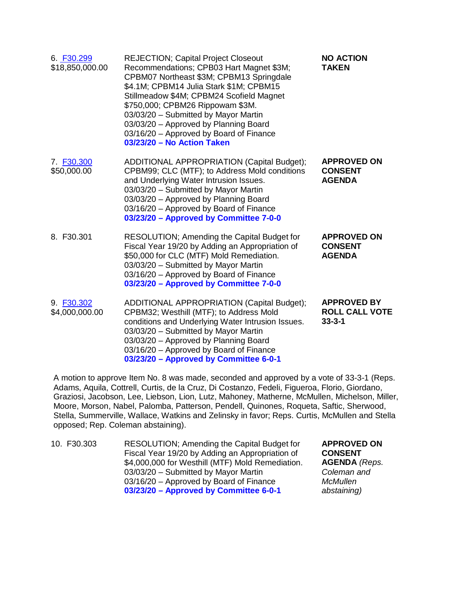| 6. F30.299<br>\$18,850,000.00 | <b>REJECTION; Capital Project Closeout</b><br>Recommendations; CPB03 Hart Magnet \$3M;<br>CPBM07 Northeast \$3M; CPBM13 Springdale<br>\$4.1M; CPBM14 Julia Stark \$1M; CPBM15<br>Stillmeadow \$4M; CPBM24 Scofield Magnet<br>\$750,000; CPBM26 Rippowam \$3M.<br>03/03/20 - Submitted by Mayor Martin<br>03/03/20 - Approved by Planning Board<br>03/16/20 - Approved by Board of Finance<br>03/23/20 - No Action Taken | <b>NO ACTION</b><br><b>TAKEN</b>                            |
|-------------------------------|-------------------------------------------------------------------------------------------------------------------------------------------------------------------------------------------------------------------------------------------------------------------------------------------------------------------------------------------------------------------------------------------------------------------------|-------------------------------------------------------------|
| 7. F30.300<br>\$50,000.00     | ADDITIONAL APPROPRIATION (Capital Budget);<br>CPBM99; CLC (MTF); to Address Mold conditions<br>and Underlying Water Intrusion Issues.<br>03/03/20 - Submitted by Mayor Martin<br>03/03/20 - Approved by Planning Board<br>03/16/20 - Approved by Board of Finance<br>03/23/20 - Approved by Committee 7-0-0                                                                                                             | <b>APPROVED ON</b><br><b>CONSENT</b><br><b>AGENDA</b>       |
| 8. F30.301                    | RESOLUTION; Amending the Capital Budget for<br>Fiscal Year 19/20 by Adding an Appropriation of<br>\$50,000 for CLC (MTF) Mold Remediation.<br>03/03/20 - Submitted by Mayor Martin<br>03/16/20 - Approved by Board of Finance<br>03/23/20 - Approved by Committee 7-0-0                                                                                                                                                 | <b>APPROVED ON</b><br><b>CONSENT</b><br><b>AGENDA</b>       |
| 9. F30.302<br>\$4,000,000.00  | ADDITIONAL APPROPRIATION (Capital Budget);<br>CPBM32; Westhill (MTF); to Address Mold<br>conditions and Underlying Water Intrusion Issues.<br>03/03/20 - Submitted by Mayor Martin<br>03/03/20 - Approved by Planning Board<br>03/16/20 - Approved by Board of Finance<br>03/23/20 - Approved by Committee 6-0-1                                                                                                        | <b>APPROVED BY</b><br><b>ROLL CALL VOTE</b><br>$33 - 3 - 1$ |

A motion to approve Item No. 8 was made, seconded and approved by a vote of 33-3-1 (Reps. Adams, Aquila, Cottrell, Curtis, de la Cruz, Di Costanzo, Fedeli, Figueroa, Florio, Giordano, Graziosi, Jacobson, Lee, Liebson, Lion, Lutz, Mahoney, Matherne, McMullen, Michelson, Miller, Moore, Morson, Nabel, Palomba, Patterson, Pendell, Quinones, Roqueta, Saftic, Sherwood, Stella, Summerville, Wallace, Watkins and Zelinsky in favor; Reps. Curtis, McMullen and Stella opposed; Rep. Coleman abstaining).

| 10. F30.303 | RESOLUTION; Amending the Capital Budget for<br>Fiscal Year 19/20 by Adding an Appropriation of | <b>APPROVED ON</b><br><b>CONSENT</b> |
|-------------|------------------------------------------------------------------------------------------------|--------------------------------------|
|             | \$4,000,000 for Westhill (MTF) Mold Remediation.<br>03/03/20 - Submitted by Mayor Martin       | <b>AGENDA</b> (Reps.<br>Coleman and  |
|             | 03/16/20 - Approved by Board of Finance<br>03/23/20 - Approved by Committee 6-0-1              | McMullen<br>abstaining)              |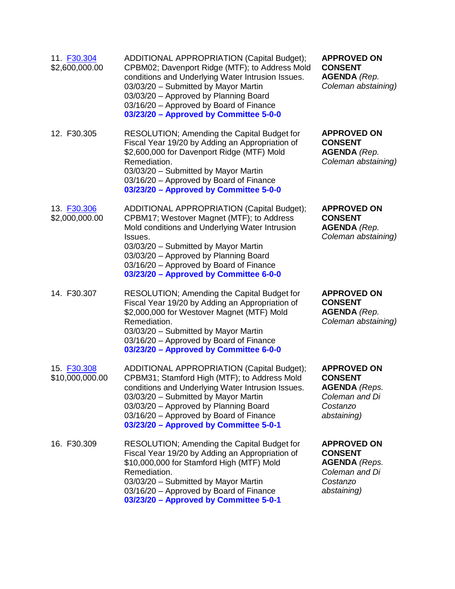| 11. F30.304<br>\$2,600,000.00  | <b>ADDITIONAL APPROPRIATION (Capital Budget);</b><br>CPBM02; Davenport Ridge (MTF); to Address Mold<br>conditions and Underlying Water Intrusion Issues.<br>03/03/20 - Submitted by Mayor Martin<br>03/03/20 - Approved by Planning Board<br>03/16/20 - Approved by Board of Finance<br>03/23/20 - Approved by Committee 5-0-0 | <b>APPROVED ON</b><br><b>CONSENT</b><br><b>AGENDA</b> (Rep.<br>Coleman abstaining)                        |
|--------------------------------|--------------------------------------------------------------------------------------------------------------------------------------------------------------------------------------------------------------------------------------------------------------------------------------------------------------------------------|-----------------------------------------------------------------------------------------------------------|
| 12. F30.305                    | RESOLUTION; Amending the Capital Budget for<br>Fiscal Year 19/20 by Adding an Appropriation of<br>\$2,600,000 for Davenport Ridge (MTF) Mold<br>Remediation.<br>03/03/20 - Submitted by Mayor Martin<br>03/16/20 - Approved by Board of Finance<br>03/23/20 - Approved by Committee 5-0-0                                      | <b>APPROVED ON</b><br><b>CONSENT</b><br><b>AGENDA</b> (Rep.<br>Coleman abstaining)                        |
| 13. F30.306<br>\$2,000,000.00  | ADDITIONAL APPROPRIATION (Capital Budget);<br>CPBM17; Westover Magnet (MTF); to Address<br>Mold conditions and Underlying Water Intrusion<br>Issues.<br>03/03/20 - Submitted by Mayor Martin<br>03/03/20 - Approved by Planning Board<br>03/16/20 - Approved by Board of Finance<br>03/23/20 - Approved by Committee 6-0-0     | <b>APPROVED ON</b><br><b>CONSENT</b><br><b>AGENDA</b> (Rep.<br>Coleman abstaining)                        |
| 14. F30.307                    | RESOLUTION; Amending the Capital Budget for<br>Fiscal Year 19/20 by Adding an Appropriation of<br>\$2,000,000 for Westover Magnet (MTF) Mold<br>Remediation.<br>03/03/20 - Submitted by Mayor Martin<br>03/16/20 - Approved by Board of Finance<br>03/23/20 - Approved by Committee 6-0-0                                      | <b>APPROVED ON</b><br><b>CONSENT</b><br><b>AGENDA</b> (Rep.<br>Coleman abstaining)                        |
| 15. F30.308<br>\$10,000,000.00 | ADDITIONAL APPROPRIATION (Capital Budget);<br>CPBM31; Stamford High (MTF); to Address Mold<br>conditions and Underlying Water Intrusion Issues.<br>03/03/20 - Submitted by Mayor Martin<br>03/03/20 - Approved by Planning Board<br>03/16/20 - Approved by Board of Finance<br>03/23/20 - Approved by Committee 5-0-1          | <b>APPROVED ON</b><br><b>CONSENT</b><br><b>AGENDA</b> (Reps.<br>Coleman and Di<br>Costanzo<br>abstaining) |
| 16. F30.309                    | RESOLUTION; Amending the Capital Budget for<br>Fiscal Year 19/20 by Adding an Appropriation of<br>\$10,000,000 for Stamford High (MTF) Mold<br>Remediation.<br>03/03/20 - Submitted by Mayor Martin<br>03/16/20 - Approved by Board of Finance<br>03/23/20 - Approved by Committee 5-0-1                                       | <b>APPROVED ON</b><br><b>CONSENT</b><br><b>AGENDA</b> (Reps.<br>Coleman and Di<br>Costanzo<br>abstaining) |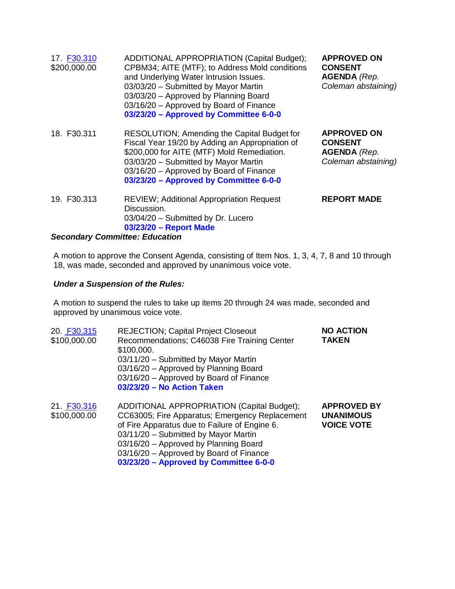| 17. F30.310<br>\$200,000.00     | ADDITIONAL APPROPRIATION (Capital Budget);<br>CPBM34; AITE (MTF); to Address Mold conditions<br>and Underlying Water Intrusion Issues.<br>03/03/20 - Submitted by Mayor Martin<br>03/03/20 - Approved by Planning Board<br>03/16/20 - Approved by Board of Finance<br>03/23/20 - Approved by Committee 6-0-0 | <b>APPROVED ON</b><br><b>CONSENT</b><br><b>AGENDA</b> (Rep.<br>Coleman abstaining) |
|---------------------------------|--------------------------------------------------------------------------------------------------------------------------------------------------------------------------------------------------------------------------------------------------------------------------------------------------------------|------------------------------------------------------------------------------------|
| 18. F30.311                     | RESOLUTION; Amending the Capital Budget for<br>Fiscal Year 19/20 by Adding an Appropriation of<br>\$200,000 for AITE (MTF) Mold Remediation.<br>03/03/20 - Submitted by Mayor Martin<br>03/16/20 - Approved by Board of Finance<br>03/23/20 - Approved by Committee 6-0-0                                    | <b>APPROVED ON</b><br><b>CONSENT</b><br><b>AGENDA</b> (Rep.<br>Coleman abstaining) |
| 19. F30.313<br>0. <b>. .</b> 0. | <b>REVIEW; Additional Appropriation Request</b><br>Discussion.<br>03/04/20 - Submitted by Dr. Lucero<br>03/23/20 - Report Made                                                                                                                                                                               | <b>REPORT MADE</b>                                                                 |

#### *Secondary Committee: Education*

A motion to approve the Consent Agenda, consisting of Item Nos. 1, 3, 4, 7, 8 and 10 through 18, was made, seconded and approved by unanimous voice vote.

#### *Under a Suspension of the Rules:*

A motion to suspend the rules to take up items 20 through 24 was made, seconded and approved by unanimous voice vote.

| 20. F30.315<br>\$100,000.00 | <b>REJECTION; Capital Project Closeout</b><br>Recommendations; C46038 Fire Training Center<br>\$100,000.<br>03/11/20 - Submitted by Mayor Martin<br>03/16/20 - Approved by Planning Board<br>03/16/20 - Approved by Board of Finance<br>03/23/20 - No Action Taken                                                  | <b>NO ACTION</b><br><b>TAKEN</b>                            |
|-----------------------------|---------------------------------------------------------------------------------------------------------------------------------------------------------------------------------------------------------------------------------------------------------------------------------------------------------------------|-------------------------------------------------------------|
| 21. F30.316<br>\$100,000.00 | ADDITIONAL APPROPRIATION (Capital Budget);<br>CC63005; Fire Apparatus; Emergency Replacement<br>of Fire Apparatus due to Failure of Engine 6.<br>03/11/20 - Submitted by Mayor Martin<br>03/16/20 - Approved by Planning Board<br>03/16/20 - Approved by Board of Finance<br>03/23/20 - Approved by Committee 6-0-0 | <b>APPROVED BY</b><br><b>UNANIMOUS</b><br><b>VOICE VOTE</b> |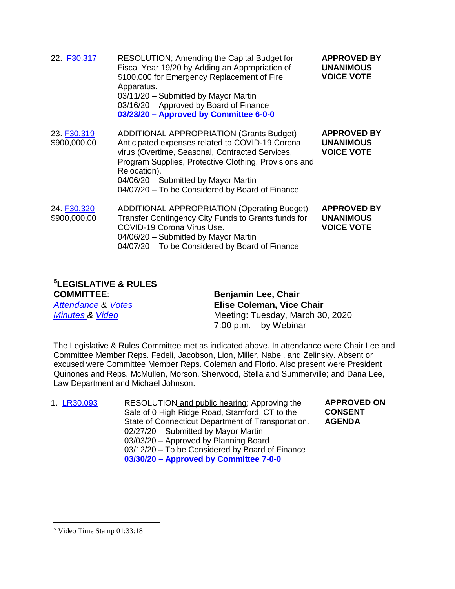| 22. F30.317                 | RESOLUTION; Amending the Capital Budget for<br>Fiscal Year 19/20 by Adding an Appropriation of<br>\$100,000 for Emergency Replacement of Fire<br>Apparatus.<br>03/11/20 - Submitted by Mayor Martin<br>03/16/20 - Approved by Board of Finance<br>03/23/20 - Approved by Committee 6-0-0                                  | <b>APPROVED BY</b><br><b>UNANIMOUS</b><br><b>VOICE VOTE</b> |
|-----------------------------|---------------------------------------------------------------------------------------------------------------------------------------------------------------------------------------------------------------------------------------------------------------------------------------------------------------------------|-------------------------------------------------------------|
| 23. F30.319<br>\$900,000.00 | <b>ADDITIONAL APPROPRIATION (Grants Budget)</b><br>Anticipated expenses related to COVID-19 Corona<br>virus (Overtime, Seasonal, Contracted Services,<br>Program Supplies, Protective Clothing, Provisions and<br>Relocation).<br>04/06/20 - Submitted by Mayor Martin<br>04/07/20 - To be Considered by Board of Finance | <b>APPROVED BY</b><br><b>UNANIMOUS</b><br><b>VOICE VOTE</b> |
| 24. F30.320<br>\$900,000.00 | <b>ADDITIONAL APPROPRIATION (Operating Budget)</b><br>Transfer Contingency City Funds to Grants funds for<br>COVID-19 Corona Virus Use.<br>04/06/20 - Submitted by Mayor Martin<br>04/07/20 - To be Considered by Board of Finance                                                                                        | <b>APPROVED BY</b><br><b>UNANIMOUS</b><br><b>VOICE VOTE</b> |

#### **[5](#page-8-0) LEGISLATIVE & RULES**

| <b>COMMITTEE:</b>             | <b>Benjamin Lee, Chair</b>       |
|-------------------------------|----------------------------------|
| <b>Attendance &amp; Votes</b> | <b>Elise Coleman, Vice Chair</b> |
| <b>Minutes &amp; Video</b>    | Meeting: Tuesday, March 30, 2020 |
|                               | $7:00$ p.m. $-$ by Webinar       |

The Legislative & Rules Committee met as indicated above. In attendance were Chair Lee and Committee Member Reps. Fedeli, Jacobson, Lion, Miller, Nabel, and Zelinsky. Absent or excused were Committee Member Reps. Coleman and Florio. Also present were President Quinones and Reps. McMullen, Morson, Sherwood, Stella and Summerville; and Dana Lee, Law Department and Michael Johnson.

| 1. LR30.093 | RESOLUTION and public hearing; Approving the       | <b>APPROVED ON</b> |
|-------------|----------------------------------------------------|--------------------|
|             | Sale of 0 High Ridge Road, Stamford, CT to the     | <b>CONSENT</b>     |
|             | State of Connecticut Department of Transportation. | <b>AGENDA</b>      |
|             | 02/27/20 - Submitted by Mayor Martin               |                    |
|             | 03/03/20 - Approved by Planning Board              |                    |
|             | 03/12/20 - To be Considered by Board of Finance    |                    |
|             | 03/30/20 - Approved by Committee 7-0-0             |                    |

<span id="page-8-0"></span> <sup>5</sup> Video Time Stamp 01:33:18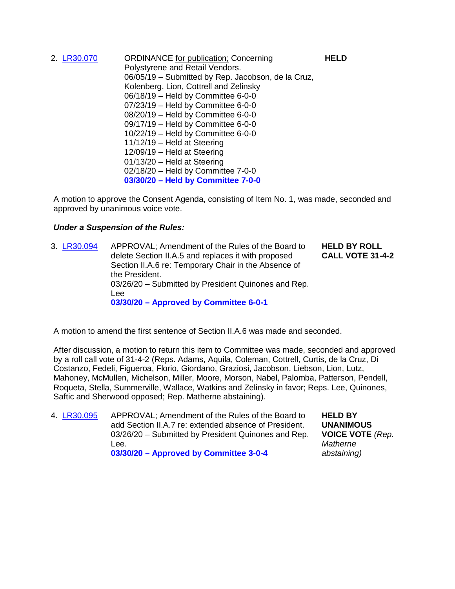2. [LR30.070](http://www.boardofreps.org/lr30070.aspx) ORDINANCE for publication; Concerning Polystyrene and Retail Vendors. 06/05/19 – Submitted by Rep. Jacobson, de la Cruz, Kolenberg, Lion, Cottrell and Zelinsky 06/18/19 – Held by Committee 6-0-0 07/23/19 – Held by Committee 6-0-0 08/20/19 – Held by Committee 6-0-0 09/17/19 – Held by Committee 6-0-0 10/22/19 – Held by Committee 6-0-0 11/12/19 – Held at Steering 12/09/19 – Held at Steering 01/13/20 – Held at Steering 02/18/20 – Held by Committee 7-0-0 **03/30/20 – Held by Committee 7-0-0**

A motion to approve the Consent Agenda, consisting of Item No. 1, was made, seconded and approved by unanimous voice vote.

#### *Under a Suspension of the Rules:*

3. [LR30.094](http://www.boardofreps.org/Data/Sites/43/userfiles/committees/legrules/items/2020/lr30.094.pdf) APPROVAL; Amendment of the Rules of the Board to delete Section II.A.5 and replaces it with proposed Section II.A.6 re: Temporary Chair in the Absence of the President. 03/26/20 – Submitted by President Quinones and Rep. Lee **03/30/20 – Approved by Committee 6-0-1 HELD BY ROLL CALL VOTE 31-4-2**

A motion to amend the first sentence of Section II.A.6 was made and seconded.

After discussion, a motion to return this item to Committee was made, seconded and approved by a roll call vote of 31-4-2 (Reps. Adams, Aquila, Coleman, Cottrell, Curtis, de la Cruz, Di Costanzo, Fedeli, Figueroa, Florio, Giordano, Graziosi, Jacobson, Liebson, Lion, Lutz, Mahoney, McMullen, Michelson, Miller, Moore, Morson, Nabel, Palomba, Patterson, Pendell, Roqueta, Stella, Summerville, Wallace, Watkins and Zelinsky in favor; Reps. Lee, Quinones, Saftic and Sherwood opposed; Rep. Matherne abstaining).

4. [LR30.095](http://www.boardofreps.org/Data/Sites/43/userfiles/committees/legrules/items/2020/lr30.094.pdf) APPROVAL; Amendment of the Rules of the Board to add Section II.A.7 re: extended absence of President. 03/26/20 – Submitted by President Quinones and Rep. Lee. **03/30/20 – Approved by Committee 3-0-4**

**HELD BY UNANIMOUS VOICE VOTE** *(Rep. Matherne abstaining)*

**HELD**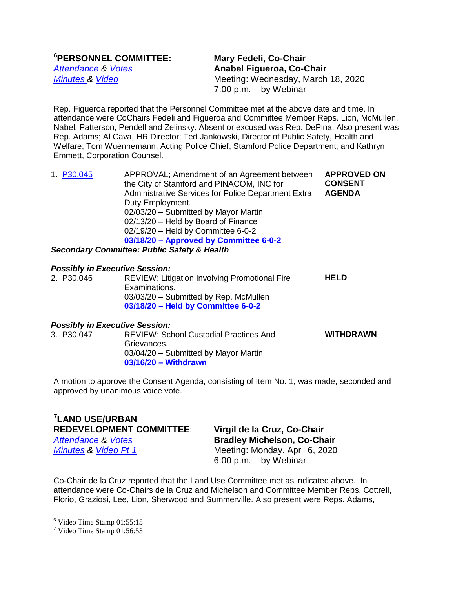| <sup>6</sup> PERSONNEL COMMITTEE: |  |
|-----------------------------------|--|
| <b>Attendance &amp; Votes</b>     |  |
| <b>Minutes &amp; Video</b>        |  |

**Mary Fedeli, Co-Chair** *[Attendance](http://www.boardofreps.org/Data/Sites/43/userfiles/committees/personnel/attend/2020/p200318_attend.pdf) & [Votes](http://www.boardofreps.org/Data/Sites/43/userfiles/committees/personnel/votes/2020/p200318_vote.pdf)* **Anabel Figueroa, Co-Chair** *Meeting: Wednesday, March 18, 2020* 7:00 p.m. – by Webinar

Rep. Figueroa reported that the Personnel Committee met at the above date and time. In attendance were CoChairs Fedeli and Figueroa and Committee Member Reps. Lion, McMullen, Nabel, Patterson, Pendell and Zelinsky. Absent or excused was Rep. DePina. Also present was Rep. Adams; Al Cava, HR Director; Ted Jankowski, Director of Public Safety, Health and Welfare; Tom Wuennemann, Acting Police Chief, Stamford Police Department; and Kathryn Emmett, Corporation Counsel.

1. [P30.045](http://www.boardofreps.org/p30045.aspx) APPROVAL; Amendment of an Agreement between the City of Stamford and PINACOM, INC for Administrative Services for Police Department Extra Duty Employment. 02/03/20 – Submitted by Mayor Martin 02/13/20 – Held by Board of Finance 02/19/20 – Held by Committee 6-0-2 **03/18/20 – Approved by Committee 6-0-2 APPROVED ON CONSENT AGENDA**

*Secondary Committee: Public Safety & Health*

### *Possibly in Executive Session:*

REVIEW; Litigation Involving Promotional Fire Examinations. 03/03/20 – Submitted by Rep. McMullen **03/18/20 – Held by Committee 6-0-2 HELD**

#### *Possibly in Executive Session:*

| 3. P30.047 | <b>REVIEW: School Custodial Practices And</b><br>Grievances.<br>03/04/20 - Submitted by Mayor Martin | <b>WITHDRAWN</b> |
|------------|------------------------------------------------------------------------------------------------------|------------------|
|            | $03/16/20 - With drawn$                                                                              |                  |

A motion to approve the Consent Agenda, consisting of Item No. 1, was made, seconded and approved by unanimous voice vote.

#### **[7](#page-10-1) LAND USE/URBAN REDEVELOPMENT COMMITTEE**: **Virgil de la Cruz, Co-Chair** *[Attendance](http://www.boardofreps.org/Data/Sites/43/userfiles/committees/landuse/attend/2020/lu200406_attend.pdf) & [Votes](http://www.boardofreps.org/Data/Sites/43/userfiles/committees/landuse/votes/2020/lu200406_vote.pdf)* **Bradley Michelson, Co-Chair**

*[Minutes](http://www.boardofreps.org/Data/Sites/43/userfiles/committees/landuse/reports/2020/lu200406.pdf)* & *Video Pt 1* Meeting: Monday, April 6, 2020 6:00 p.m. – by Webinar

Co-Chair de la Cruz reported that the Land Use Committee met as indicated above. In attendance were Co-Chairs de la Cruz and Michelson and Committee Member Reps. Cottrell, Florio, Graziosi, Lee, Lion, Sherwood and Summerville. Also present were Reps. Adams,

<span id="page-10-0"></span> <sup>6</sup> Video Time Stamp 01:55:15

<span id="page-10-1"></span><sup>7</sup> Video Time Stamp 01:56:53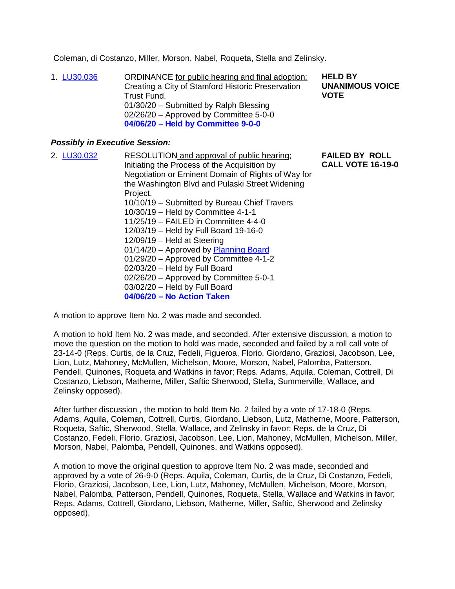Coleman, di Costanzo, Miller, Morson, Nabel, Roqueta, Stella and Zelinsky.

1. [LU30.036](http://www.boardofreps.org/lu30036.aspx) ORDINANCE for public hearing and final adoption; Creating a City of Stamford Historic Preservation Trust Fund. 01/30/20 – Submitted by Ralph Blessing 02/26/20 – Approved by Committee 5-0-0 **04/06/20 – Held by Committee 9-0-0 HELD BY UNANIMOUS VOICE VOTE**

#### *Possibly in Executive Session:*

| 2. LU30.032 | RESOLUTION and approval of public hearing;         | <b>FAILED BY ROLL</b>    |
|-------------|----------------------------------------------------|--------------------------|
|             | Initiating the Process of the Acquisition by       | <b>CALL VOTE 16-19-0</b> |
|             | Negotiation or Eminent Domain of Rights of Way for |                          |
|             | the Washington Blvd and Pulaski Street Widening    |                          |
|             | Project.                                           |                          |
|             | 10/10/19 – Submitted by Bureau Chief Travers       |                          |
|             | 10/30/19 - Held by Committee 4-1-1                 |                          |
|             | 11/25/19 - FAILED in Committee 4-4-0               |                          |
|             | 12/03/19 - Held by Full Board 19-16-0              |                          |
|             | $12/09/19$ – Held at Steering                      |                          |
|             | 01/14/20 - Approved by Planning Board              |                          |
|             | 01/29/20 - Approved by Committee 4-1-2             |                          |
|             | 02/03/20 - Held by Full Board                      |                          |
|             | 02/26/20 - Approved by Committee 5-0-1             |                          |
|             | 03/02/20 - Held by Full Board                      |                          |
|             | 04/06/20 - No Action Taken                         |                          |
|             |                                                    |                          |

A motion to approve Item No. 2 was made and seconded.

A motion to hold Item No. 2 was made, and seconded. After extensive discussion, a motion to move the question on the motion to hold was made, seconded and failed by a roll call vote of 23-14-0 (Reps. Curtis, de la Cruz, Fedeli, Figueroa, Florio, Giordano, Graziosi, Jacobson, Lee, Lion, Lutz, Mahoney, McMullen, Michelson, Moore, Morson, Nabel, Palomba, Patterson, Pendell, Quinones, Roqueta and Watkins in favor; Reps. Adams, Aquila, Coleman, Cottrell, Di Costanzo, Liebson, Matherne, Miller, Saftic Sherwood, Stella, Summerville, Wallace, and Zelinsky opposed).

After further discussion , the motion to hold Item No. 2 failed by a vote of 17-18-0 (Reps. Adams, Aquila, Coleman, Cottrell, Curtis, Giordano, Liebson, Lutz, Matherne, Moore, Patterson, Roqueta, Saftic, Sherwood, Stella, Wallace, and Zelinsky in favor; Reps. de la Cruz, Di Costanzo, Fedeli, Florio, Graziosi, Jacobson, Lee, Lion, Mahoney, McMullen, Michelson, Miller, Morson, Nabel, Palomba, Pendell, Quinones, and Watkins opposed).

A motion to move the original question to approve Item No. 2 was made, seconded and approved by a vote of 26-9-0 (Reps. Aquila, Coleman, Curtis, de la Cruz, Di Costanzo, Fedeli, Florio, Graziosi, Jacobson, Lee, Lion, Lutz, Mahoney, McMullen, Michelson, Moore, Morson, Nabel, Palomba, Patterson, Pendell, Quinones, Roqueta, Stella, Wallace and Watkins in favor; Reps. Adams, Cottrell, Giordano, Liebson, Matherne, Miller, Saftic, Sherwood and Zelinsky opposed).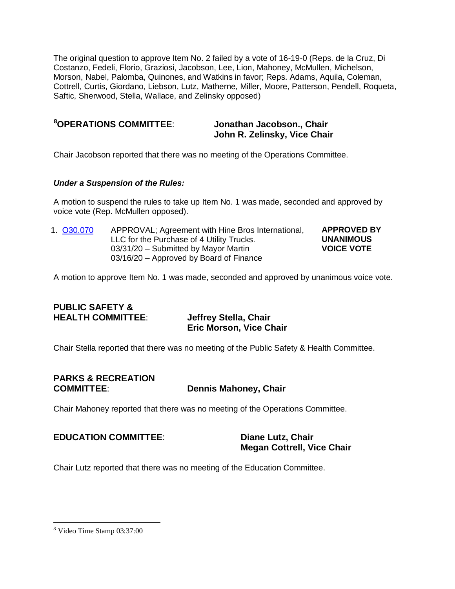The original question to approve Item No. 2 failed by a vote of 16-19-0 (Reps. de la Cruz, Di Costanzo, Fedeli, Florio, Graziosi, Jacobson, Lee, Lion, Mahoney, McMullen, Michelson, Morson, Nabel, Palomba, Quinones, and Watkins in favor; Reps. Adams, Aquila, Coleman, Cottrell, Curtis, Giordano, Liebson, Lutz, Matherne, Miller, Moore, Patterson, Pendell, Roqueta, Saftic, Sherwood, Stella, Wallace, and Zelinsky opposed)

| <sup>8</sup> OPERATIONS COMMITTEE: |  |
|------------------------------------|--|
|------------------------------------|--|

#### **Jonathan Jacobson., Chair John R. Zelinsky, Vice Chair**

Chair Jacobson reported that there was no meeting of the Operations Committee.

#### *Under a Suspension of the Rules:*

A motion to suspend the rules to take up Item No. 1 was made, seconded and approved by voice vote (Rep. McMullen opposed).

1. [O30.070](http://www.boardofreps.org/o30070.aspx) APPROVAL; Agreement with Hine Bros International, LLC for the Purchase of 4 Utility Trucks. 03/31/20 – Submitted by Mayor Martin 03/16/20 – Approved by Board of Finance **APPROVED BY UNANIMOUS VOICE VOTE**

A motion to approve Item No. 1 was made, seconded and approved by unanimous voice vote.

#### **PUBLIC SAFETY & HEALTH COMMITTEE**: **Jeffrey Stella, Chair**

# **Eric Morson, Vice Chair**

Chair Stella reported that there was no meeting of the Public Safety & Health Committee.

## **PARKS & RECREATION**

#### **Dennis Mahoney, Chair**

Chair Mahoney reported that there was no meeting of the Operations Committee.

#### **EDUCATION COMMITTEE**: **Diane Lutz, Chair**

## **Megan Cottrell, Vice Chair**

Chair Lutz reported that there was no meeting of the Education Committee.

<span id="page-12-0"></span> <sup>8</sup> Video Time Stamp 03:37:00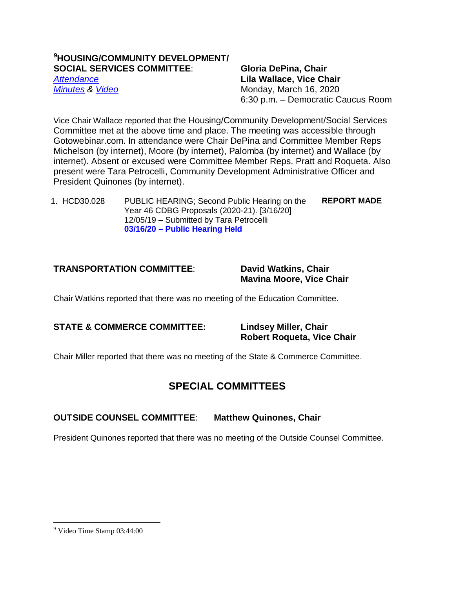#### **[9](#page-13-0) HOUSING/COMMUNITY DEVELOPMENT/ SOCIAL SERVICES COMMITTEE**: **Gloria DePina, Chair**

*[Attendance](http://www.boardofreps.org/Data/Sites/43/userfiles/committees/hcd-ss/attend/2020/hcd200316_attend.pdf)* **Lila Wallace, Vice Chair** *[Minutes](http://www.boardofreps.org/Data/Sites/43/userfiles/committees/hcd-ss/reports/2020/hcd200316.pdf)* & *[Video](http://cityofstamford.granicus.com/player/clip/9155?view_id=14)* Monday, March 16, 2020 6:30 p.m. – Democratic Caucus Room

Vice Chair Wallace reported that the Housing/Community Development/Social Services Committee met at the above time and place. The meeting was accessible through Gotowebinar.com. In attendance were Chair DePina and Committee Member Reps Michelson (by internet), Moore (by internet), Palomba (by internet) and Wallace (by internet). Absent or excused were Committee Member Reps. Pratt and Roqueta. Also present were Tara Petrocelli, Community Development Administrative Officer and President Quinones (by internet).

1. HCD30.028 PUBLIC HEARING; Second Public Hearing on the Year 46 CDBG Proposals (2020-21). [3/16/20] 12/05/19 – Submitted by Tara Petrocelli **03/16/20 – Public Hearing Held REPORT MADE**

#### **TRANSPORTATION COMMITTEE**: **David Watkins, Chair**

**Mavina Moore, Vice Chair**

Chair Watkins reported that there was no meeting of the Education Committee.

#### **STATE & COMMERCE COMMITTEE: Lindsey Miller, Chair**

**Robert Roqueta, Vice Chair**

Chair Miller reported that there was no meeting of the State & Commerce Committee.

#### **SPECIAL COMMITTEES**

#### **OUTSIDE COUNSEL COMMITTEE**: **Matthew Quinones, Chair**

President Quinones reported that there was no meeting of the Outside Counsel Committee.

<span id="page-13-0"></span> <sup>9</sup> Video Time Stamp 03:44:00